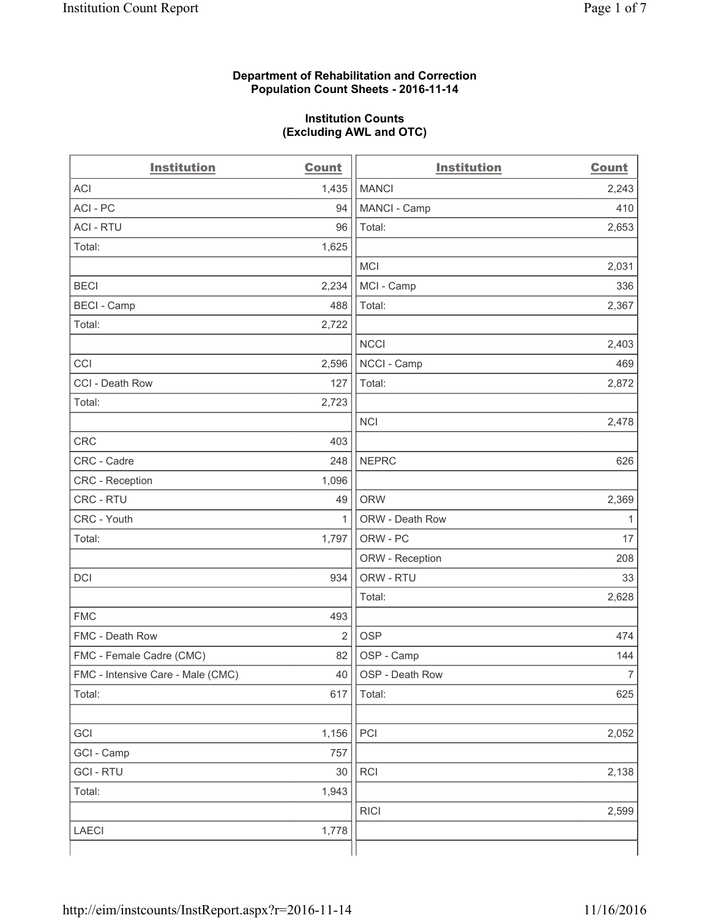#### **Department of Rehabilitation and Correction Population Count Sheets - 2016-11-14**

#### **Institution Counts (Excluding AWL and OTC)**

| <b>Institution</b>                | <b>Count</b>   | <b>Institution</b> | <b>Count</b>   |
|-----------------------------------|----------------|--------------------|----------------|
| <b>ACI</b>                        | 1,435          | <b>MANCI</b>       | 2,243          |
| ACI - PC                          | 94             | MANCI - Camp       | 410            |
| <b>ACI - RTU</b>                  | 96             | Total:             | 2,653          |
| Total:                            | 1,625          |                    |                |
|                                   |                | <b>MCI</b>         | 2,031          |
| <b>BECI</b>                       | 2,234          | MCI - Camp         | 336            |
| <b>BECI</b> - Camp                | 488            | Total:             | 2,367          |
| Total:                            | 2,722          |                    |                |
|                                   |                | <b>NCCI</b>        | 2,403          |
| CCI                               | 2,596          | NCCI - Camp        | 469            |
| CCI - Death Row                   | 127            | Total:             | 2,872          |
| Total:                            | 2,723          |                    |                |
|                                   |                | <b>NCI</b>         | 2,478          |
| <b>CRC</b>                        | 403            |                    |                |
| CRC - Cadre                       | 248            | <b>NEPRC</b>       | 626            |
| <b>CRC</b> - Reception            | 1,096          |                    |                |
| CRC - RTU                         | 49             | <b>ORW</b>         | 2,369          |
| CRC - Youth                       | $\mathbf{1}$   | ORW - Death Row    | 1              |
| Total:                            | 1,797          | ORW - PC           | 17             |
|                                   |                | ORW - Reception    | 208            |
| DCI                               | 934            | ORW - RTU          | 33             |
|                                   |                | Total:             | 2,628          |
| <b>FMC</b>                        | 493            |                    |                |
| FMC - Death Row                   | $\overline{2}$ | <b>OSP</b>         | 474            |
| FMC - Female Cadre (CMC)          | 82             | OSP - Camp         | 144            |
| FMC - Intensive Care - Male (CMC) | 40             | OSP - Death Row    | $\overline{7}$ |
| Total:                            | 617            | Total:             | 625            |
|                                   |                |                    |                |
| GCI                               | 1,156          | PCI                | 2,052          |
| GCI - Camp                        | 757            |                    |                |
| <b>GCI-RTU</b>                    | 30             | RCI                | 2,138          |
| Total:                            | 1,943          |                    |                |
|                                   |                | <b>RICI</b>        | 2,599          |
| LAECI                             | 1,778          |                    |                |
|                                   |                |                    |                |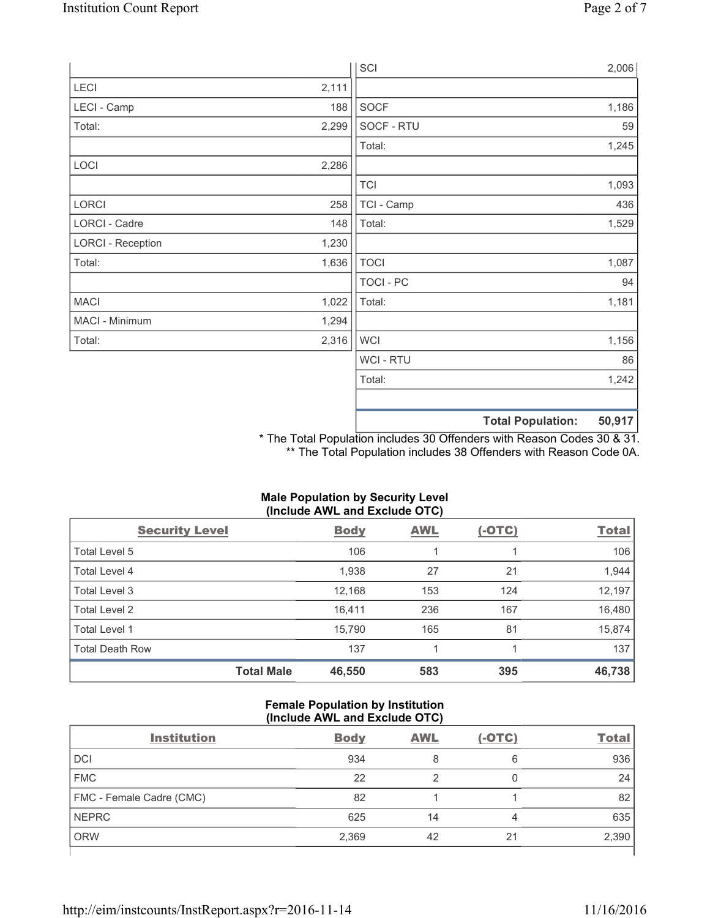|                          |       |                  | <b>Total Population:</b> | 50,917 |
|--------------------------|-------|------------------|--------------------------|--------|
|                          |       |                  |                          |        |
|                          |       | Total:           |                          | 1,242  |
|                          |       | <b>WCI-RTU</b>   |                          | 86     |
| Total:                   | 2,316 | <b>WCI</b>       |                          | 1,156  |
| MACI - Minimum           | 1,294 |                  |                          |        |
| <b>MACI</b>              | 1,022 | Total:           |                          | 1,181  |
|                          |       | <b>TOCI - PC</b> |                          | 94     |
| Total:                   | 1,636 | <b>TOCI</b>      |                          | 1,087  |
| <b>LORCI - Reception</b> | 1,230 |                  |                          |        |
| LORCI - Cadre            | 148   | Total:           |                          | 1,529  |
| LORCI                    | 258   | TCI - Camp       |                          | 436    |
|                          |       | <b>TCI</b>       |                          | 1,093  |
| LOCI                     | 2,286 |                  |                          |        |
|                          |       | Total:           |                          | 1,245  |
| Total:                   | 2,299 | SOCF - RTU       |                          | 59     |
| LECI - Camp              | 188   | SOCF             |                          | 1,186  |
| LECI                     | 2,111 |                  |                          |        |
|                          |       | SCI              |                          | 2,006  |

\* The Total Population includes 30 Offenders with Reason Codes 30 & 31. \*\* The Total Population includes 38 Offenders with Reason Code 0A.

**Total Male 46,550 583 395 46,738**

| maio i opalation by occurrity Ector<br>(Include AWL and Exclude OTC) |             |            |               |              |  |
|----------------------------------------------------------------------|-------------|------------|---------------|--------------|--|
| <b>Security Level</b>                                                | <b>Body</b> | <b>AWL</b> | <u>(-OTC)</u> | <b>Total</b> |  |
| Total Level 5                                                        | 106         |            |               | 106          |  |
| <b>Total Level 4</b>                                                 | 1,938       | 27         | 21            | 1,944        |  |
| Total Level 3                                                        | 12.168      | 153        | 124           | 12,197       |  |
| Total Level 2                                                        | 16.411      | 236        | 167           | 16,480       |  |
| Total Level 1                                                        | 15.790      | 165        | 81            | 15,874       |  |
| <b>Total Death Row</b>                                               | 137         |            |               | 137          |  |

# **Male Population by Security Level**

#### **Female Population by Institution (Include AWL and Exclude OTC)**

| <b>Institution</b>       | <b>Body</b> | <b>AWL</b> | $(-OTC)$ | <b>Total</b> |
|--------------------------|-------------|------------|----------|--------------|
| <b>DCI</b>               | 934         | 8          | 6        | 936          |
| <b>FMC</b>               | 22          |            |          | 24           |
| FMC - Female Cadre (CMC) | 82          |            |          | 82           |
| <b>NEPRC</b>             | 625         | 14         | 4        | 635          |
| <b>ORW</b>               | 2,369       | 42         | 21       | 2,390        |
|                          |             |            |          |              |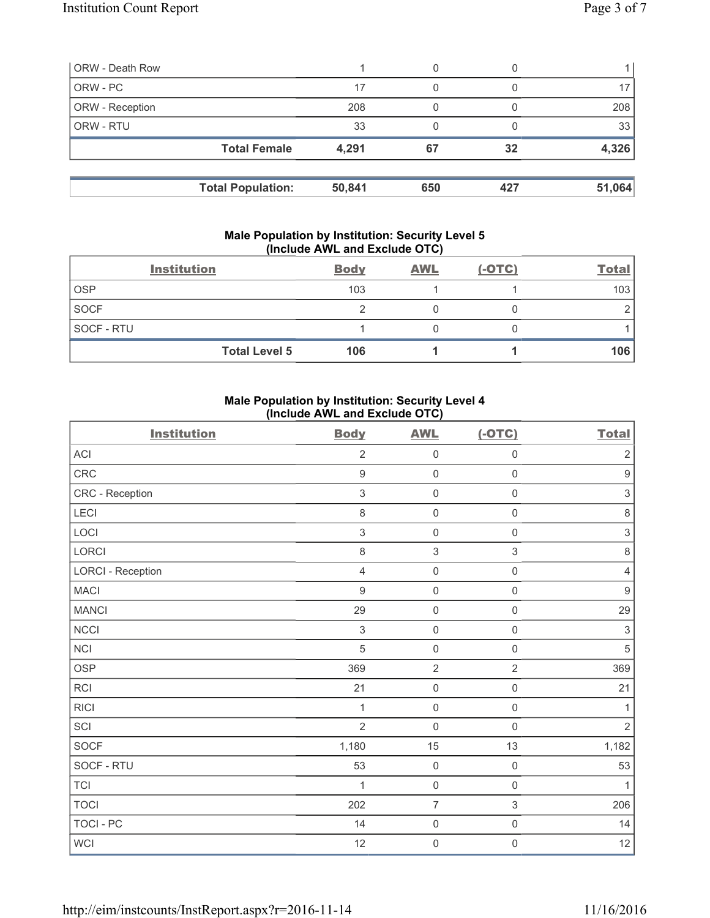| <b>ORW - Death Row</b> |                          |        | 0   |     |        |
|------------------------|--------------------------|--------|-----|-----|--------|
| ORW - PC               |                          | 17     | 0   |     |        |
| ORW - Reception        |                          | 208    |     |     | 208    |
| ORW - RTU              |                          | 33     |     |     | 33     |
|                        | <b>Total Female</b>      | 4,291  | 67  | 32  | 4,326  |
|                        | <b>Total Population:</b> | 50,841 | 650 | 427 | 51,064 |

#### **Male Population by Institution: Security Level 5 (Include AWL and Exclude OTC)**

|             | <b>Institution</b>   | <b>Body</b> | <b>AWL</b> | $(-OTC)$ | <b>Total</b> |
|-------------|----------------------|-------------|------------|----------|--------------|
| <b>OSP</b>  |                      | 103         |            |          | 103          |
| <b>SOCF</b> |                      |             |            |          |              |
| SOCF - RTU  |                      |             |            |          |              |
|             | <b>Total Level 5</b> | 106         |            |          | 106          |

## **Male Population by Institution: Security Level 4 (Include AWL and Exclude OTC)**

| <b>Institution</b>       | <b>Body</b>      | <b>AWL</b>          | $(-OTC)$            | <b>Total</b>              |
|--------------------------|------------------|---------------------|---------------------|---------------------------|
| <b>ACI</b>               | $\overline{2}$   | $\mathsf{O}\xspace$ | $\mathsf{O}\xspace$ | $\sqrt{2}$                |
| CRC                      | $9\,$            | $\mathsf{O}\xspace$ | $\mathsf{O}\xspace$ | $\boldsymbol{9}$          |
| CRC - Reception          | $\mathfrak{S}$   | $\mathsf{O}\xspace$ | 0                   | $\ensuremath{\mathsf{3}}$ |
| <b>LECI</b>              | $\,8\,$          | $\mathsf{O}\xspace$ | $\mathsf 0$         | $\,8\,$                   |
| LOCI                     | $\sqrt{3}$       | $\mathsf{O}\xspace$ | $\mathsf{O}\xspace$ | $\ensuremath{\mathsf{3}}$ |
| <b>LORCI</b>             | $\,8\,$          | $\,$ 3 $\,$         | 3                   | $\,8\,$                   |
| <b>LORCI - Reception</b> | $\overline{4}$   | $\mathsf{O}\xspace$ | $\mathsf{O}\xspace$ | $\overline{4}$            |
| MACI                     | $\boldsymbol{9}$ | $\mathsf{O}\xspace$ | $\mathsf 0$         | $\boldsymbol{9}$          |
| <b>MANCI</b>             | 29               | $\mathbf 0$         | $\mathsf{O}\xspace$ | 29                        |
| <b>NCCI</b>              | $\sqrt{3}$       | $\mathsf{O}\xspace$ | $\mathsf 0$         | $\sqrt{3}$                |
| NCI                      | 5                | $\mathsf{O}\xspace$ | $\mathsf 0$         | $\sqrt{5}$                |
| <b>OSP</b>               | 369              | $\overline{2}$      | $\overline{2}$      | 369                       |
| <b>RCI</b>               | 21               | $\mathsf{O}\xspace$ | $\mathsf{O}\xspace$ | 21                        |
| <b>RICI</b>              | 1                | $\mathsf{O}\xspace$ | $\mathsf{O}\xspace$ | $\mathbf{1}$              |
| SCI                      | $\overline{2}$   | $\mathbf 0$         | $\mathbf 0$         | $\overline{2}$            |
| <b>SOCF</b>              | 1,180            | 15                  | 13                  | 1,182                     |
| SOCF - RTU               | 53               | $\mathsf{O}\xspace$ | $\mathsf{O}\xspace$ | 53                        |
| <b>TCI</b>               | 1                | $\mathsf{O}\xspace$ | $\mathsf{O}\xspace$ | 1                         |
| <b>TOCI</b>              | 202              | $\overline{7}$      | $\mathfrak{S}$      | 206                       |
| <b>TOCI - PC</b>         | 14               | $\mathsf{O}\xspace$ | $\mathsf{O}\xspace$ | 14                        |
| WCI                      | 12               | $\mathsf{O}\xspace$ | $\mathsf 0$         | 12                        |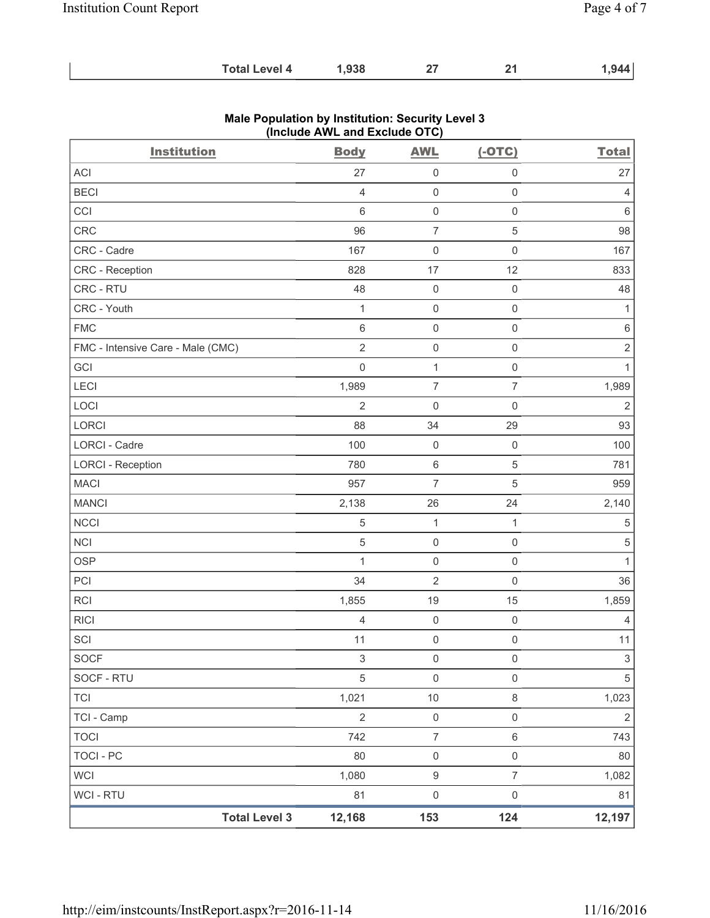| <b>Total Level 4</b> | ,938 | ^- |  | .944 |
|----------------------|------|----|--|------|
|----------------------|------|----|--|------|

| <b>Institution</b>                | <b>Body</b>         | <b>AWL</b>          | $(-OTC)$            | <b>Total</b>   |
|-----------------------------------|---------------------|---------------------|---------------------|----------------|
| ACI                               | 27                  | $\mathsf 0$         | $\mathbf 0$         | 27             |
| <b>BECI</b>                       | $\overline{4}$      | $\mathsf{O}\xspace$ | $\mathsf{O}\xspace$ | $\overline{4}$ |
| CCI                               | 6                   | $\mathsf{O}\xspace$ | $\mathsf{O}\xspace$ | $\,6\,$        |
| <b>CRC</b>                        | 96                  | $\overline{7}$      | 5                   | 98             |
| CRC - Cadre                       | 167                 | $\mathsf{O}\xspace$ | $\mathsf{O}\xspace$ | 167            |
| CRC - Reception                   | 828                 | 17                  | 12                  | 833            |
| CRC - RTU                         | 48                  | $\mathsf{O}\xspace$ | $\mathsf{O}\xspace$ | 48             |
| CRC - Youth                       | $\mathbf 1$         | $\mathsf{O}\xspace$ | $\mathsf{O}\xspace$ | $\mathbf{1}$   |
| <b>FMC</b>                        | 6                   | $\mathsf{O}\xspace$ | $\mathbf 0$         | $\,6\,$        |
| FMC - Intensive Care - Male (CMC) | $\sqrt{2}$          | $\mathsf{O}\xspace$ | $\mathsf 0$         | $\sqrt{2}$     |
| GCI                               | $\mathsf{O}\xspace$ | $\mathbf{1}$        | $\mathsf 0$         | $\mathbf{1}$   |
| <b>LECI</b>                       | 1,989               | $\overline{7}$      | $\overline{7}$      | 1,989          |
| LOCI                              | $\overline{2}$      | $\mathsf{O}\xspace$ | $\mathsf{O}\xspace$ | $\overline{2}$ |
| LORCI                             | 88                  | 34                  | 29                  | 93             |
| <b>LORCI - Cadre</b>              | 100                 | $\mathbf 0$         | $\mathsf 0$         | 100            |
| <b>LORCI - Reception</b>          | 780                 | $\,6\,$             | $\mathbf 5$         | 781            |
| <b>MACI</b>                       | 957                 | $\overline{7}$      | 5                   | 959            |
| <b>MANCI</b>                      | 2,138               | 26                  | 24                  | 2,140          |
| <b>NCCI</b>                       | 5                   | $\mathbf{1}$        | $\mathbf{1}$        | $\,$ 5 $\,$    |
| <b>NCI</b>                        | 5                   | $\mathsf{O}\xspace$ | $\mathsf 0$         | $\sqrt{5}$     |
| <b>OSP</b>                        | $\mathbf{1}$        | $\mathbf 0$         | $\mathsf{O}\xspace$ | $\mathbf{1}$   |
| PCI                               | 34                  | $\overline{2}$      | $\mathsf 0$         | 36             |
| RCI                               | 1,855               | 19                  | 15                  | 1,859          |
| <b>RICI</b>                       | 4                   | $\mathsf{O}\xspace$ | $\mathsf{O}\xspace$ | $\overline{4}$ |
| SCI                               | 11                  | $\mathsf{O}\xspace$ | $\mathsf 0$         | 11             |
| <b>SOCF</b>                       | 3                   | 0                   | 0                   | $\mathbf{3}$   |
| SOCF - RTU                        | $\sqrt{5}$          | $\mathsf 0$         | $\mathsf{O}\xspace$ | 5              |
| <b>TCI</b>                        | 1,021               | $10$                | $\,8\,$             | 1,023          |
| TCI - Camp                        | $\sqrt{2}$          | $\mathsf{O}\xspace$ | $\mathsf{O}\xspace$ | $\sqrt{2}$     |
| <b>TOCI</b>                       | 742                 | $\boldsymbol{7}$    | $\,6\,$             | 743            |
| <b>TOCI - PC</b>                  | 80                  | $\mathsf{O}\xspace$ | $\mathsf{O}\xspace$ | 80             |
| <b>WCI</b>                        | 1,080               | $\boldsymbol{9}$    | $\overline{7}$      | 1,082          |
| WCI - RTU                         | 81                  | $\mathsf{O}\xspace$ | $\mathsf{O}\xspace$ | 81             |
| <b>Total Level 3</b>              | 12,168              | 153                 | 124                 | 12,197         |

## **Male Population by Institution: Security Level 3 (Include AWL and Exclude OTC)**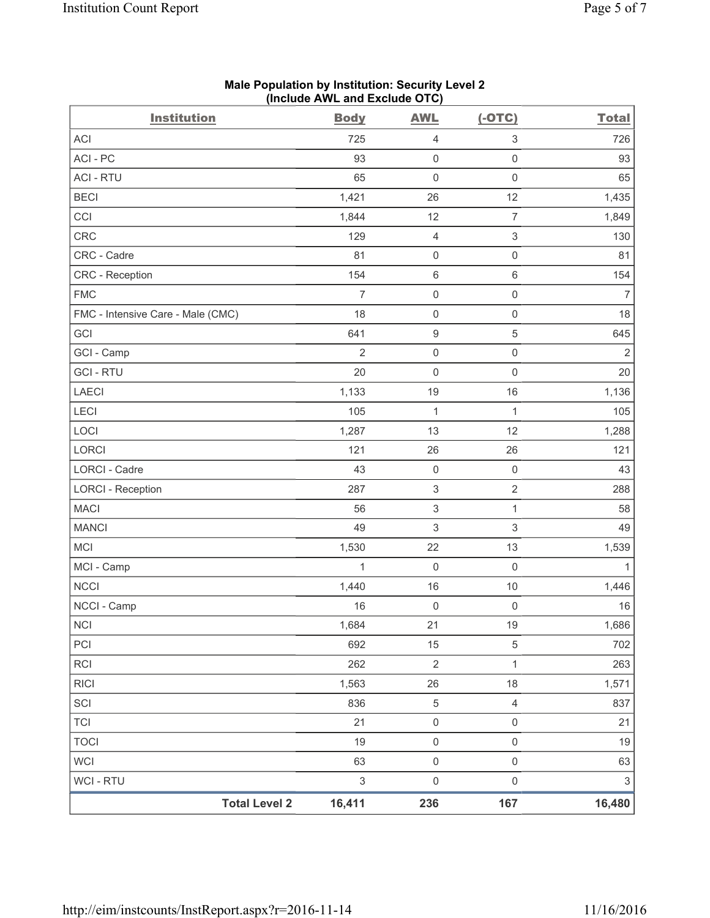| <b>Institution</b>                | <b>Body</b>    | <b>AWL</b>                | $(-OTC)$            | <b>Total</b>              |
|-----------------------------------|----------------|---------------------------|---------------------|---------------------------|
| <b>ACI</b>                        | 725            | 4                         | 3                   | 726                       |
| ACI-PC                            | 93             | $\mathsf{O}\xspace$       | $\mathsf{O}\xspace$ | 93                        |
| <b>ACI - RTU</b>                  | 65             | $\mathsf{O}\xspace$       | $\mathsf 0$         | 65                        |
| <b>BECI</b>                       | 1,421          | 26                        | 12                  | 1,435                     |
| CCI                               | 1,844          | 12                        | $\overline{7}$      | 1,849                     |
| <b>CRC</b>                        | 129            | $\overline{4}$            | $\,$ 3 $\,$         | 130                       |
| CRC - Cadre                       | 81             | $\mathsf{O}\xspace$       | $\mathsf 0$         | 81                        |
| CRC - Reception                   | 154            | $\,6$                     | $\,6\,$             | 154                       |
| <b>FMC</b>                        | $\overline{7}$ | $\mathsf{O}\xspace$       | $\mathsf 0$         | $\overline{7}$            |
| FMC - Intensive Care - Male (CMC) | 18             | $\mathsf{O}\xspace$       | $\mathsf 0$         | 18                        |
| GCI                               | 641            | $\hbox{9}$                | $\,$ 5 $\,$         | 645                       |
| GCI - Camp                        | $\overline{2}$ | $\mathsf{O}\xspace$       | $\mathsf 0$         | $\sqrt{2}$                |
| <b>GCI-RTU</b>                    | 20             | $\mathsf{O}\xspace$       | $\mathsf 0$         | 20                        |
| <b>LAECI</b>                      | 1,133          | 19                        | 16                  | 1,136                     |
| LECI                              | 105            | $\mathbf{1}$              | $\mathbf{1}$        | 105                       |
| LOCI                              | 1,287          | 13                        | 12                  | 1,288                     |
| LORCI                             | 121            | 26                        | 26                  | 121                       |
| LORCI - Cadre                     | 43             | $\mathsf{O}\xspace$       | $\mathsf{O}\xspace$ | 43                        |
| <b>LORCI - Reception</b>          | 287            | $\ensuremath{\mathsf{3}}$ | $\sqrt{2}$          | 288                       |
| <b>MACI</b>                       | 56             | $\ensuremath{\mathsf{3}}$ | $\mathbf{1}$        | 58                        |
| <b>MANCI</b>                      | 49             | 3                         | $\,$ 3 $\,$         | 49                        |
| <b>MCI</b>                        | 1,530          | 22                        | 13                  | 1,539                     |
| MCI - Camp                        | 1              | $\mathsf{O}\xspace$       | $\mathsf 0$         | 1                         |
| <b>NCCI</b>                       | 1,440          | 16                        | $10$                | 1,446                     |
| NCCI - Camp                       | 16             | $\mathsf{O}\xspace$       | $\mathsf 0$         | 16                        |
| <b>NCI</b>                        | 1,684          | 21                        | $19$                | 1,686                     |
| PCI                               | 692            | 15                        | $\,$ 5 $\,$         | 702                       |
| RCI                               | 262            | $\overline{2}$            | 1                   | 263                       |
| <b>RICI</b>                       | 1,563          | 26                        | 18                  | 1,571                     |
| SCI                               | 836            | $\,$ 5 $\,$               | $\overline{4}$      | 837                       |
| <b>TCI</b>                        | 21             | $\mathsf{O}\xspace$       | $\mathsf{O}\xspace$ | 21                        |
| <b>TOCI</b>                       | 19             | $\mathsf{O}\xspace$       | $\mathsf 0$         | 19                        |
| <b>WCI</b>                        | 63             | $\mathsf{O}\xspace$       | $\mathsf{O}\xspace$ | 63                        |
| <b>WCI - RTU</b>                  | $\mathfrak{S}$ | $\mathsf{O}\xspace$       | $\mathsf 0$         | $\ensuremath{\mathsf{3}}$ |
| <b>Total Level 2</b>              | 16,411         | 236                       | 167                 | 16,480                    |

### **Male Population by Institution: Security Level 2 (Include AWL and Exclude OTC)**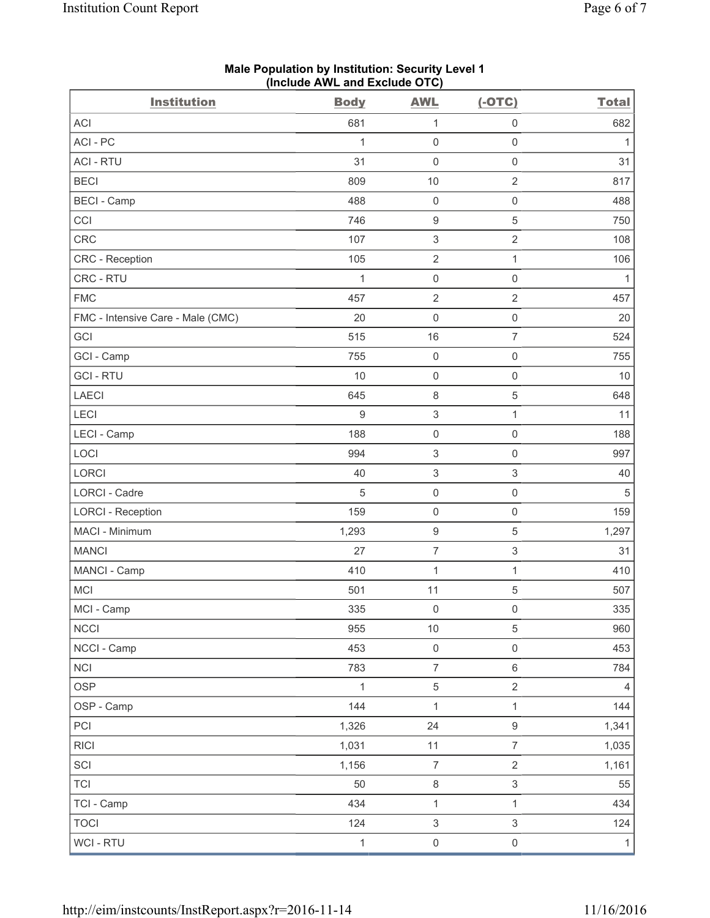|                                   | Include AWL and LACIUG OTO |                           |                           |              |
|-----------------------------------|----------------------------|---------------------------|---------------------------|--------------|
| <b>Institution</b>                | <b>Body</b>                | <b>AWL</b>                | $(-OTC)$                  | <b>Total</b> |
| ACI                               | 681                        | 1                         | $\mathsf{O}\xspace$       | 682          |
| ACI-PC                            | $\mathbf{1}$               | $\mathsf{O}\xspace$       | $\mathsf 0$               | 1            |
| <b>ACI - RTU</b>                  | 31                         | 0                         | $\mathsf 0$               | 31           |
| <b>BECI</b>                       | 809                        | $10$                      | $\sqrt{2}$                | 817          |
| <b>BECI - Camp</b>                | 488                        | $\mathsf{O}\xspace$       | $\mathsf{O}\xspace$       | 488          |
| CCI                               | 746                        | $\boldsymbol{9}$          | $\sqrt{5}$                | 750          |
| CRC                               | 107                        | $\ensuremath{\mathsf{3}}$ | $\sqrt{2}$                | 108          |
| CRC - Reception                   | 105                        | $\sqrt{2}$                | 1                         | 106          |
| CRC - RTU                         | $\mathbf{1}$               | $\mathsf 0$               | $\mathsf{O}\xspace$       | $\mathbf{1}$ |
| <b>FMC</b>                        | 457                        | $\overline{2}$            | $\overline{2}$            | 457          |
| FMC - Intensive Care - Male (CMC) | 20                         | $\mathsf{O}\xspace$       | $\mathsf 0$               | 20           |
| GCI                               | 515                        | 16                        | $\overline{7}$            | 524          |
| GCI - Camp                        | 755                        | $\mathsf{O}\xspace$       | $\mathbf 0$               | 755          |
| <b>GCI - RTU</b>                  | 10                         | $\mathsf{O}\xspace$       | $\mathsf 0$               | 10           |
| LAECI                             | 645                        | $\,8\,$                   | $\sqrt{5}$                | 648          |
| LECI                              | 9                          | $\ensuremath{\mathsf{3}}$ | 1                         | 11           |
| LECI - Camp                       | 188                        | $\mathsf 0$               | $\mathbf 0$               | 188          |
| LOCI                              | 994                        | $\ensuremath{\mathsf{3}}$ | $\mathsf 0$               | 997          |
| LORCI                             | 40                         | $\ensuremath{\mathsf{3}}$ | $\ensuremath{\mathsf{3}}$ | 40           |
| LORCI - Cadre                     | 5                          | $\mathsf{O}\xspace$       | $\mathsf 0$               | 5            |
| <b>LORCI - Reception</b>          | 159                        | $\mathsf{O}\xspace$       | $\mathsf 0$               | 159          |
| MACI - Minimum                    | 1,293                      | $\boldsymbol{9}$          | $\,$ 5 $\,$               | 1,297        |
| <b>MANCI</b>                      | 27                         | $\overline{7}$            | $\ensuremath{\mathsf{3}}$ | 31           |
| MANCI - Camp                      | 410                        | 1                         | 1                         | 410          |
| MCI                               | 501                        | 11                        | 5                         | 507          |
| MCI - Camp                        | 335                        | $\mathsf 0$               | $\mathsf 0$               | 335          |
| <b>NCCI</b>                       | 955                        | $10$                      | 5                         | 960          |
| NCCI - Camp                       | 453                        | $\mathsf 0$               | $\mathsf{O}\xspace$       | 453          |
| <b>NCI</b>                        | 783                        | $\overline{7}$            | $\,6\,$                   | 784          |
| <b>OSP</b>                        | $\mathbf{1}$               | $\,$ 5 $\,$               | $\overline{2}$            | 4            |
| OSP - Camp                        | 144                        | $\mathbf{1}$              | 1                         | 144          |
| PCI                               | 1,326                      | 24                        | $\boldsymbol{9}$          | 1,341        |
| <b>RICI</b>                       | 1,031                      | 11                        | $\overline{7}$            | 1,035        |
| SCI                               | 1,156                      | $\boldsymbol{7}$          | $\overline{2}$            | 1,161        |
| <b>TCI</b>                        | 50                         | 8                         | 3                         | 55           |
| TCI - Camp                        | 434                        | $\mathbf 1$               | $\mathbf{1}$              | 434          |
| <b>TOCI</b>                       | 124                        | $\ensuremath{\mathsf{3}}$ | $\mathsf 3$               | 124          |
| WCI - RTU                         | $\mathbf{1}$               | $\mathsf{O}\xspace$       | $\mathsf{O}\xspace$       | $\mathbf{1}$ |

**Male Population by Institution: Security Level 1 (Include AWL and Exclude OTC)**